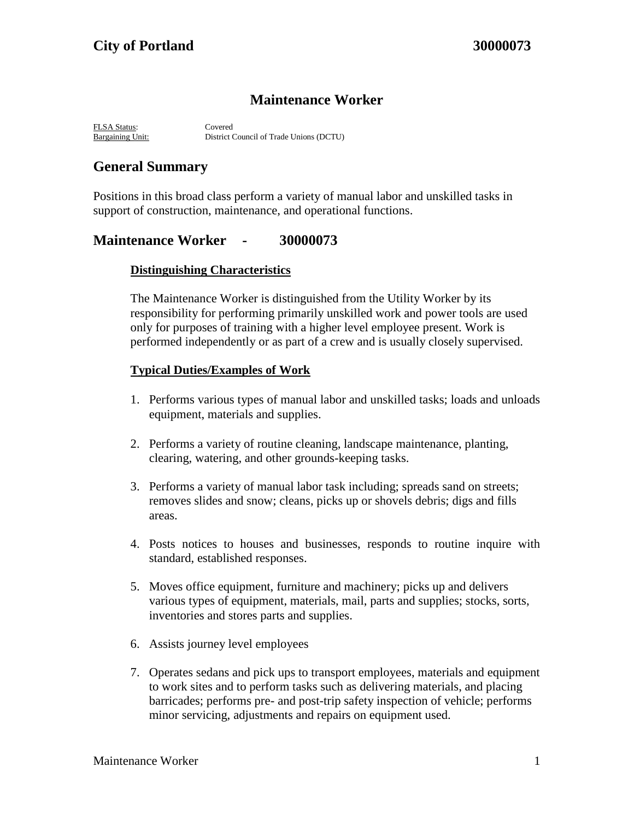# **Maintenance Worker**

FLSA Status: Covered Bargaining Unit: District Council of Trade Unions (DCTU)

# **General Summary**

Positions in this broad class perform a variety of manual labor and unskilled tasks in support of construction, maintenance, and operational functions.

### **Maintenance Worker - 30000073**

### **Distinguishing Characteristics**

The Maintenance Worker is distinguished from the Utility Worker by its responsibility for performing primarily unskilled work and power tools are used only for purposes of training with a higher level employee present. Work is performed independently or as part of a crew and is usually closely supervised.

### **Typical Duties/Examples of Work**

- 1. Performs various types of manual labor and unskilled tasks; loads and unloads equipment, materials and supplies.
- 2. Performs a variety of routine cleaning, landscape maintenance, planting, clearing, watering, and other grounds-keeping tasks.
- 3. Performs a variety of manual labor task including; spreads sand on streets; removes slides and snow; cleans, picks up or shovels debris; digs and fills areas.
- 4. Posts notices to houses and businesses, responds to routine inquire with standard, established responses.
- 5. Moves office equipment, furniture and machinery; picks up and delivers various types of equipment, materials, mail, parts and supplies; stocks, sorts, inventories and stores parts and supplies.
- 6. Assists journey level employees
- 7. Operates sedans and pick ups to transport employees, materials and equipment to work sites and to perform tasks such as delivering materials, and placing barricades; performs pre- and post-trip safety inspection of vehicle; performs minor servicing, adjustments and repairs on equipment used.